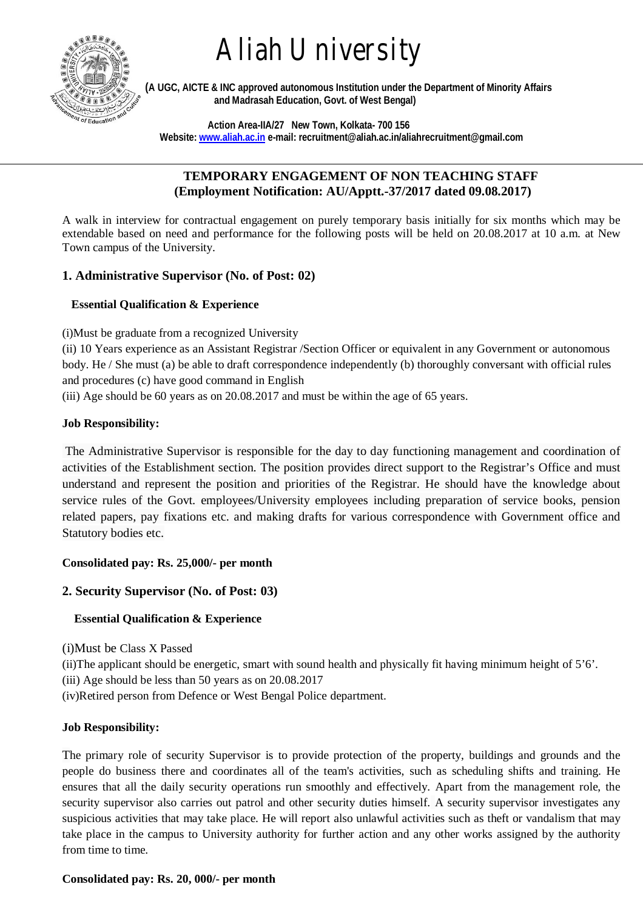

# Aliah University

 **(A UGC, AICTE & INC approved autonomous Institution under the Department of Minority Affairs and Madrasah Education, Govt. of West Bengal)**

 **Action Area-IIA/27 New Town, Kolkata- 700 156 Website: www.aliah.ac.in e-mail: recruitment@aliah.ac.in/aliahrecruitment@gmail.com**

## **TEMPORARY ENGAGEMENT OF NON TEACHING STAFF (Employment Notification: AU/Apptt.-37/2017 dated 09.08.2017)**

A walk in interview for contractual engagement on purely temporary basis initially for six months which may be extendable based on need and performance for the following posts will be held on 20.08.2017 at 10 a.m. at New Town campus of the University.

# **1. Administrative Supervisor (No. of Post: 02)**

# **Essential Qualification & Experience**

(i)Must be graduate from a recognized University

(ii) 10 Years experience as an Assistant Registrar /Section Officer or equivalent in any Government or autonomous body. He / She must (a) be able to draft correspondence independently (b) thoroughly conversant with official rules and procedures (c) have good command in English

(iii) Age should be 60 years as on 20.08.2017 and must be within the age of 65 years.

## **Job Responsibility:**

The Administrative Supervisor is responsible for the day to day functioning management and coordination of activities of the Establishment section. The position provides direct support to the Registrar's Office and must understand and represent the position and priorities of the Registrar. He should have the knowledge about service rules of the Govt. employees/University employees including preparation of service books, pension related papers, pay fixations etc. and making drafts for various correspondence with Government office and Statutory bodies etc.

# **Consolidated pay: Rs. 25,000/- per month**

# **2. Security Supervisor (No. of Post: 03)**

# **Essential Qualification & Experience**

(i)Must be Class X Passed

(ii)The applicant should be energetic, smart with sound health and physically fit having minimum height of  $5^{\circ}$ .

(iii) Age should be less than 50 years as on 20.08.2017

(iv)Retired person from Defence or West Bengal Police department.

# **Job Responsibility:**

The primary role of security Supervisor is to provide protection of the property, buildings and grounds and the people do business there and coordinates all of the team's activities, such as scheduling shifts and training. He ensures that all the daily security operations run smoothly and effectively. Apart from the management role, the security supervisor also carries out patrol and other security duties himself. A security supervisor investigates any suspicious activities that may take place. He will report also unlawful activities such as theft or vandalism that may take place in the campus to University authority for further action and any other works assigned by the authority from time to time.

## **Consolidated pay: Rs. 20, 000/- per month**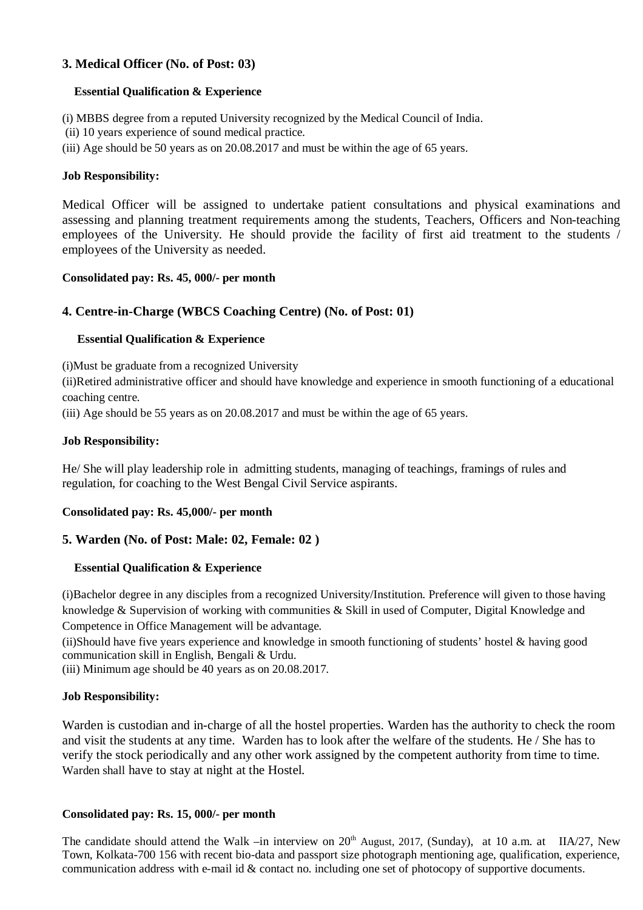## **3. Medical Officer (No. of Post: 03)**

#### **Essential Qualification & Experience**

(i) MBBS degree from a reputed University recognized by the Medical Council of India.

- (ii) 10 years experience of sound medical practice.
- (iii) Age should be 50 years as on 20.08.2017 and must be within the age of 65 years.

#### **Job Responsibility:**

Medical Officer will be assigned to undertake patient consultations and physical examinations and assessing and planning treatment requirements among the students, Teachers, Officers and Non-teaching employees of the University. He should provide the facility of first aid treatment to the students / employees of the University as needed.

#### **Consolidated pay: Rs. 45, 000/- per month**

## **4. Centre-in-Charge (WBCS Coaching Centre) (No. of Post: 01)**

## **Essential Qualification & Experience**

(i)Must be graduate from a recognized University

(ii)Retired administrative officer and should have knowledge and experience in smooth functioning of a educational coaching centre.

(iii) Age should be 55 years as on 20.08.2017 and must be within the age of 65 years.

#### **Job Responsibility:**

He/ She will play leadership role in admitting students, managing of teachings, framings of rules and regulation, for coaching to the West Bengal Civil Service aspirants.

#### **Consolidated pay: Rs. 45,000/- per month**

## **5. Warden (No. of Post: Male: 02, Female: 02 )**

## **Essential Qualification & Experience**

(i)Bachelor degree in any disciples from a recognized University/Institution. Preference will given to those having knowledge & Supervision of working with communities & Skill in used of Computer, Digital Knowledge and Competence in Office Management will be advantage.

(ii)Should have five years experience and knowledge in smooth functioning of students' hostel & having good communication skill in English, Bengali & Urdu.

(iii) Minimum age should be 40 years as on 20.08.2017.

#### **Job Responsibility:**

Warden is custodian and in-charge of all the hostel properties. Warden has the authority to check the room and visit the students at any time. Warden has to look after the welfare of the students. He / She has to verify the stock periodically and any other work assigned by the competent authority from time to time. Warden shall have to stay at night at the Hostel.

#### **Consolidated pay: Rs. 15, 000/- per month**

The candidate should attend the Walk –in interview on  $20<sup>th</sup>$  August, 2017, (Sunday), at 10 a.m. at IIA/27, New Town, Kolkata-700 156 with recent bio-data and passport size photograph mentioning age, qualification, experience, communication address with e-mail id & contact no. including one set of photocopy of supportive documents.